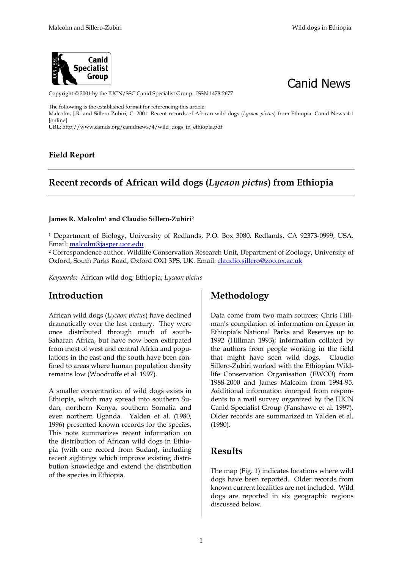



Copyright © 2001 by the IUCN/SSC Canid Specialist Group. ISSN 1478-2677

The following is the established format for referencing this article:

Malcolm, J.R. and Sillero-Zubiri, C. 2001. Recent records of African wild dogs (*Lycaon pictus*) from Ethiopia. Canid News 4:1 [online]

URL: http://www.canids.org/canidnews/4/wild\_dogs\_in\_ethiopia.pdf

### **Field Report**

## **Recent records of African wild dogs (***Lycaon pictus***) from Ethiopia**

#### James R. Malcolm<sup>1</sup> and Claudio Sillero-Zubiri<sup>2</sup>

<sup>1</sup> Department of Biology, University of Redlands, P.O. Box 3080, Redlands, CA 92373-0999, USA. Email: malcolm@jasper.uor.edu

² Correspondence author. Wildlife Conservation Research Unit, Department of Zoology, University of Oxford, South Parks Road, Oxford OX1 3PS, UK. Email: claudio.sillero@zoo.ox.ac.uk

*Keywords*: African wild dog; Ethiopia; *Lycaon pictus*

## **Introduction**

African wild dogs (*Lycaon pictus*) have declined dramatically over the last century. They were once distributed through much of south-Saharan Africa, but have now been extirpated from most of west and central Africa and populations in the east and the south have been confined to areas where human population density remains low (Woodroffe et al*.* 1997).

A smaller concentration of wild dogs exists in Ethiopia, which may spread into southern Sudan, northern Kenya, southern Somalia and even northern Uganda. Yalden et al*.* (1980, 1996) presented known records for the species. This note summarizes recent information on the distribution of African wild dogs in Ethiopia (with one record from Sudan), including recent sightings which improve existing distribution knowledge and extend the distribution of the species in Ethiopia.

## **Methodology**

Data come from two main sources: Chris Hillman's compilation of information on *Lycaon* in Ethiopia's National Parks and Reserves up to 1992 (Hillman 1993); information collated by the authors from people working in the field that might have seen wild dogs. Claudio Sillero-Zubiri worked with the Ethiopian Wildlife Conservation Organisation (EWCO) from 1988-2000 and James Malcolm from 1994-95. Additional information emerged from respondents to a mail survey organized by the IUCN Canid Specialist Group (Fanshawe et al*.* 1997). Older records are summarized in Yalden et al*.*  (1980).

## **Results**

The map (Fig. 1) indicates locations where wild dogs have been reported. Older records from known current localities are not included. Wild dogs are reported in six geographic regions discussed below.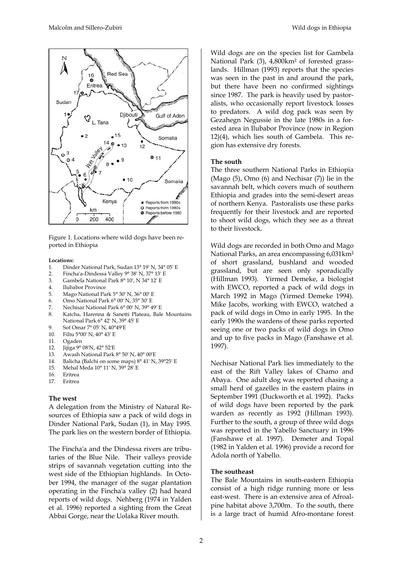

Figure 1. Locations where wild dogs have been reported in Ethiopia

#### **Locations:**

- 1. Dinder National Park, Sudan 13° 19' N, 34° 05' E
- 2. Fincha'a-Dindessa Valley 9° 38' N, 37° 13' E
- 3. Gambela National Park 8° 10', N 34° 12' E
- 4. Ilubabor Province
- 5. Mago National Park 5° 30' N, 36° 00' E
- 6. Omo National Park 6° 00' N, 35° 30' E
- 7. Nechisar National Park 6° 00' N, 39° 49' E
- 8. Katcha, Harenna & Sanetti Plateau, Bale Mountains National Park 6° 42' N, 39° 45' E
- 9. Sof Omar 7° 05' N, 40°49'E
- 10. Filtu 5°00' N, 40° 43' E
- 11. Ogaden
- 12. Jijiga 9° 08'N, 42° 52'E
- 13. Awash National Park 8° 50' N, 40° 00'E
- 14. Balicha (Balchi on some maps) 8° 41' N, 39°25' E
- 15. Mehal Meda 10° 11' N, 39° 28' E
- 16. Eritrea
- 17. Eritrea

#### **The west**

A delegation from the Ministry of Natural Resources of Ethiopia saw a pack of wild dogs in Dinder National Park, Sudan (1), in May 1995. The park lies on the western border of Ethiopia.

The Fincha'a and the Dindessa rivers are tributaries of the Blue Nile. Their valleys provide strips of savannah vegetation cutting into the west side of the Ethiopian highlands. In October 1994, the manager of the sugar plantation operating in the Fincha'a valley (2) had heard reports of wild dogs. Nehberg (1974 in Yalden et al*.* 1996) reported a sighting from the Great Abbai Gorge, near the Uolaka River mouth.

Wild dogs are on the species list for Gambela National Park (3), 4,800km² of forested grasslands. Hillman (1993) reports that the species was seen in the past in and around the park, but there have been no confirmed sightings since 1987. The park is heavily used by pastoralists, who occasionally report livestock losses to predators. A wild dog pack was seen by Gezahegn Negussie in the late 1980s in a forested area in Ilubabor Province (now in Region 12)(4), which lies south of Gambela. This region has extensive dry forests.

#### **The south**

The three southern National Parks in Ethiopia (Mago (5), Omo (6) and Nechisar (7)) lie in the savannah belt, which covers much of southern Ethiopia and grades into the semi-desert areas of northern Kenya. Pastoralists use these parks frequently for their livestock and are reported to shoot wild dogs, which they see as a threat to their livestock.

Wild dogs are recorded in both Omo and Mago National Parks, an area encompassing 6,031km² of short grassland, bushland and wooded grassland, but are seen only sporadically (Hillman 1993). Yirmed Demeke, a biologist with EWCO, reported a pack of wild dogs in March 1992 in Mago (Yirmed Demeke 1994). Mike Jacobs, working with EWCO, watched a pack of wild dogs in Omo in early 1995. In the early 1990s the wardens of these parks reported seeing one or two packs of wild dogs in Omo and up to five packs in Mago (Fanshawe et al*.* 1997).

Nechisar National Park lies immediately to the east of the Rift Valley lakes of Chamo and Abaya. One adult dog was reported chasing a small herd of gazelles in the eastern plains in September 1991 (Duckworth et al*.* 1992). Packs of wild dogs have been reported by the park warden as recently as 1992 (Hillman 1993). Further to the south, a group of three wild dogs was reported in the Yabello Sanctuary in 1996 (Fanshawe et al*.* 1997). Demeter and Topal (1982 in Yalden et al*.* 1996) provide a record for Adola north of Yabello.

#### **The southeast**

The Bale Mountains in south-eastern Ethiopia consist of a high ridge running more or less east-west. There is an extensive area of Afroalpine habitat above 3,700m. To the south, there is a large tract of humid Afro-montane forest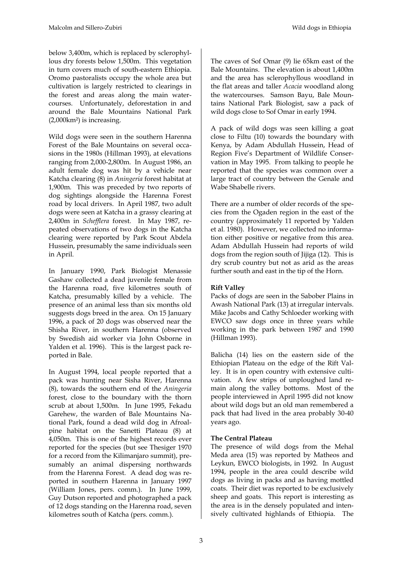below 3,400m, which is replaced by sclerophyllous dry forests below 1,500m. This vegetation in turn covers much of south-eastern Ethiopia. Oromo pastoralists occupy the whole area but cultivation is largely restricted to clearings in the forest and areas along the main watercourses. Unfortunately, deforestation in and around the Bale Mountains National Park (2,000km²) is increasing.

Wild dogs were seen in the southern Harenna Forest of the Bale Mountains on several occasions in the 1980s (Hillman 1993), at elevations ranging from 2,000-2,800m. In August 1986, an adult female dog was hit by a vehicle near Katcha clearing (8) in *Aningeria* forest habitat at 1,900m. This was preceded by two reports of dog sightings alongside the Harenna Forest road by local drivers. In April 1987, two adult dogs were seen at Katcha in a grassy clearing at 2,400m in *Schefflera* forest. In May 1987, repeated observations of two dogs in the Katcha clearing were reported by Park Scout Abdela Hussein, presumably the same individuals seen in April.

In January 1990, Park Biologist Menassie Gashaw collected a dead juvenile female from the Harenna road, five kilometres south of Katcha, presumably killed by a vehicle. The presence of an animal less than six months old suggests dogs breed in the area. On 15 January 1996, a pack of 20 dogs was observed near the Shisha River, in southern Harenna (observed by Swedish aid worker via John Osborne in Yalden et al*.* 1996). This is the largest pack reported in Bale.

In August 1994, local people reported that a pack was hunting near Sisha River, Harenna (8), towards the southern end of the *Aningeria*  forest, close to the boundary with the thorn scrub at about 1,500m. In June 1995, Fekadu Garehew, the warden of Bale Mountains National Park, found a dead wild dog in Afroalpine habitat on the Sanetti Plateau (8) at 4,050m. This is one of the highest records ever reported for the species (but see Thesiger 1970 for a record from the Kilimanjaro summit), presumably an animal dispersing northwards from the Harenna Forest. A dead dog was reported in southern Harenna in January 1997 (William Jones, pers. comm.). In June 1999, Guy Dutson reported and photographed a pack of 12 dogs standing on the Harenna road, seven kilometres south of Katcha (pers. comm.).

The caves of Sof Omar (9) lie 65km east of the Bale Mountains. The elevation is about 1,400m and the area has sclerophyllous woodland in the flat areas and taller *Acacia* woodland along the watercourses. Samson Bayu, Bale Mountains National Park Biologist, saw a pack of wild dogs close to Sof Omar in early 1994.

A pack of wild dogs was seen killing a goat close to Filtu (10) towards the boundary with Kenya, by Adam Abdullah Hussein, Head of Region Five's Department of Wildlife Conservation in May 1995. From talking to people he reported that the species was common over a large tract of country between the Genale and Wabe Shabelle rivers.

There are a number of older records of the species from the Ogaden region in the east of the country (approximately 11 reported by Yalden et al*.* 1980). However, we collected no information either positive or negative from this area. Adam Abdullah Hussein had reports of wild dogs from the region south of Jijiga (12). This is dry scrub country but not as arid as the areas further south and east in the tip of the Horn.

### **Rift Valley**

Packs of dogs are seen in the Sabober Plains in Awash National Park (13) at irregular intervals. Mike Jacobs and Cathy Schloeder working with EWCO saw dogs once in three years while working in the park between 1987 and 1990 (Hillman 1993).

Balicha (14) lies on the eastern side of the Ethiopian Plateau on the edge of the Rift Valley. It is in open country with extensive cultivation. A few strips of unploughed land remain along the valley bottoms. Most of the people interviewed in April 1995 did not know about wild dogs but an old man remembered a pack that had lived in the area probably 30-40 years ago.

### **The Central Plateau**

The presence of wild dogs from the Mehal Meda area (15) was reported by Matheos and Leykun, EWCO biologists, in 1992. In August 1994, people in the area could describe wild dogs as living in packs and as having mottled coats. Their diet was reported to be exclusively sheep and goats. This report is interesting as the area is in the densely populated and intensively cultivated highlands of Ethiopia. The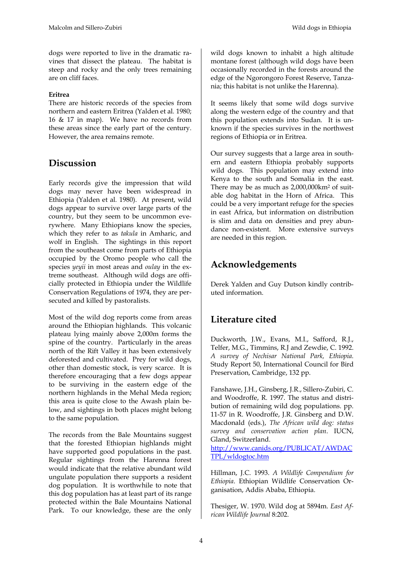dogs were reported to live in the dramatic ravines that dissect the plateau. The habitat is steep and rocky and the only trees remaining are on cliff faces.

### **Eritrea**

There are historic records of the species from northern and eastern Eritrea (Yalden et al*.* 1980; 16 & 17 in map). We have no records from these areas since the early part of the century. However, the area remains remote.

## **Discussion**

Early records give the impression that wild dogs may never have been widespread in Ethiopia (Yalden et al*.* 1980). At present, wild dogs appear to survive over large parts of the country, but they seem to be uncommon everywhere. Many Ethiopians know the species, which they refer to as *takula* in Amharic, and wolf in English. The sightings in this report from the southeast come from parts of Ethiopia occupied by the Oromo people who call the species *yeyii* in most areas and *oulay* in the extreme southeast. Although wild dogs are officially protected in Ethiopia under the Wildlife Conservation Regulations of 1974, they are persecuted and killed by pastoralists.

Most of the wild dog reports come from areas around the Ethiopian highlands. This volcanic plateau lying mainly above 2,000m forms the spine of the country. Particularly in the areas north of the Rift Valley it has been extensively deforested and cultivated. Prey for wild dogs, other than domestic stock, is very scarce. It is therefore encouraging that a few dogs appear to be surviving in the eastern edge of the northern highlands in the Mehal Meda region; this area is quite close to the Awash plain below, and sightings in both places might belong to the same population.

The records from the Bale Mountains suggest that the forested Ethiopian highlands might have supported good populations in the past. Regular sightings from the Harenna forest would indicate that the relative abundant wild ungulate population there supports a resident dog population. It is worthwhile to note that this dog population has at least part of its range protected within the Bale Mountains National Park. To our knowledge, these are the only

wild dogs known to inhabit a high altitude montane forest (although wild dogs have been occasionally recorded in the forests around the edge of the Ngorongoro Forest Reserve, Tanzania; this habitat is not unlike the Harenna).

It seems likely that some wild dogs survive along the western edge of the country and that this population extends into Sudan. It is unknown if the species survives in the northwest regions of Ethiopia or in Eritrea.

Our survey suggests that a large area in southern and eastern Ethiopia probably supports wild dogs. This population may extend into Kenya to the south and Somalia in the east. There may be as much as 2,000,000km2 of suitable dog habitat in the Horn of Africa. This could be a very important refuge for the species in east Africa, but information on distribution is slim and data on densities and prey abundance non-existent. More extensive surveys are needed in this region.

# **Acknowledgements**

Derek Yalden and Guy Dutson kindly contributed information.

# **Literature cited**

Duckworth, J.W., Evans, M.I., Safford, R.J., Telfer, M.G., Timmins, R.J and Zewdie, C. 1992. *A survey of Nechisar National Park, Ethiopia.*  Study Report 50, International Council for Bird Preservation, Cambridge, 132 pp.

Fanshawe, J.H., Ginsberg, J.R., Sillero-Zubiri, C. and Woodroffe, R. 1997. The status and distribution of remaining wild dog populations. pp. 11-57 in R. Woodroffe, J.R. Ginsberg and D.W. Macdonald (eds.), *The African wild dog: status survey and conservation action plan*. IUCN, Gland, Switzerland.

[http://www.canids.org/PUBLICAT/AWDAC](http://www.canids.org/PUBLICAT/AWDACTPL/wldogtoc.htm) [TPL/wldogtoc.htm](http://www.canids.org/PUBLICAT/AWDACTPL/wldogtoc.htm)

Hillman, J.C. 1993. *A Wildlife Compendium for Ethiopia*. Ethiopian Wildlife Conservation Organisation, Addis Ababa, Ethiopia.

Thesiger, W. 1970. Wild dog at 5894m. *East African Wildlife Journal* 8:202.